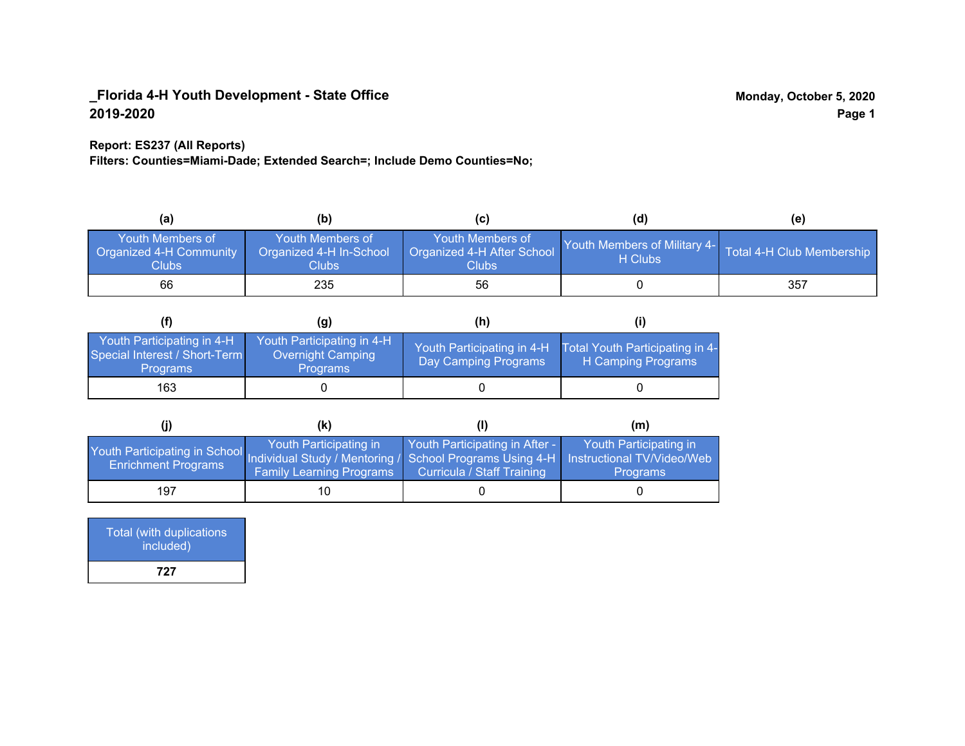### **Report: ES237 (All Reports)**

**Filters: Counties=Miami-Dade; Extended Search=; Include Demo Counties=No;**

| (a)                                                                | (b)                                                  | (C)                                                       | (d)                                     | (e)                       |
|--------------------------------------------------------------------|------------------------------------------------------|-----------------------------------------------------------|-----------------------------------------|---------------------------|
| <b>Youth Members of</b><br>Organized 4-H Community<br><b>Clubs</b> | Youth Members of<br>Organized 4-H In-School<br>Clubs | Youth Members of<br>Organized 4-H After School<br>Clubs : | Youth Members of Military 4-<br>H Clubs | Total 4-H Club Membership |
| 66                                                                 | 235                                                  | 56                                                        |                                         | 357                       |

|                                                                                | (g)                                                                       | (h)                                                |                                                       |
|--------------------------------------------------------------------------------|---------------------------------------------------------------------------|----------------------------------------------------|-------------------------------------------------------|
| Youth Participating in 4-H<br>Special Interest / Short-Term<br><b>Programs</b> | Youth Participating in 4-H<br><b>Overnight Camping</b><br><b>Programs</b> | Youth Participating in 4-H<br>Day Camping Programs | Total Youth Participating in 4-<br>H Camping Programs |
| 163                                                                            |                                                                           |                                                    |                                                       |

|                                                                                                                                                 | (k)                                                       |                                                              | (m)                                       |
|-------------------------------------------------------------------------------------------------------------------------------------------------|-----------------------------------------------------------|--------------------------------------------------------------|-------------------------------------------|
| Youth Participating in School Individual Study / Mentoring / School Programs Using 4-H Instructional TV/Video/Web<br><b>Enrichment Programs</b> | Youth Participating in<br><b>Family Learning Programs</b> | Youth Participating in After -<br>Curricula / Staff Training | Youth Participating in<br><b>Programs</b> |
| 197                                                                                                                                             | 10                                                        |                                                              |                                           |

| Total (with duplications<br>included) |  |
|---------------------------------------|--|
| 727                                   |  |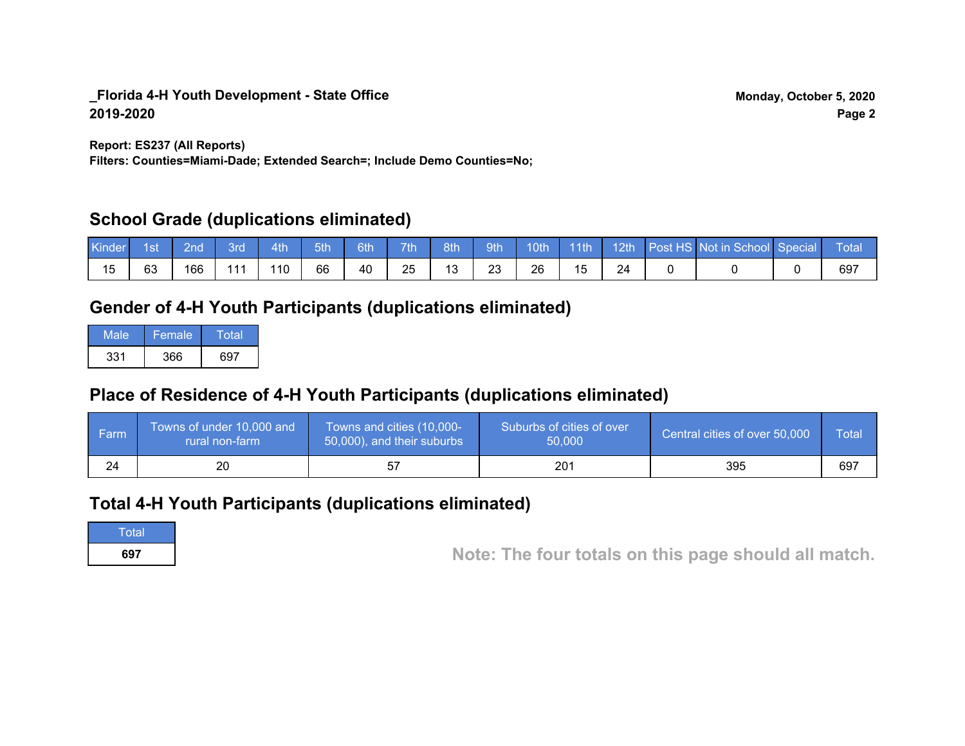**Report: ES237 (All Reports)**

**Filters: Counties=Miami-Dade; Extended Search=; Include Demo Counties=No;**

# **School Grade (duplications eliminated)**

| Kinder | 1st | 2nd' | <b>Brd</b> | 4th | 5th | 6th | 7 <sup>th</sup> | 8th | 9th |    | 10th 11th |  | 12th Post HS Not in School Special | Total |
|--------|-----|------|------------|-----|-----|-----|-----------------|-----|-----|----|-----------|--|------------------------------------|-------|
|        | 63  | 166  | 11         | 110 | 66  | 40  | 25              |     | 23  | 26 |           |  |                                    | 697   |

# **Gender of 4-H Youth Participants (duplications eliminated)**

| Male | <b>Female</b> | Total |
|------|---------------|-------|
| 331  | 366           | 697   |

# **Place of Residence of 4-H Youth Participants (duplications eliminated)**

| ∣ Farm | Towns of under 10,000 and<br>rural non-farm | Towns and cities (10,000-<br>50,000), and their suburbs | Suburbs of cities of over<br>50,000 | Central cities of over 50,000 | Total |
|--------|---------------------------------------------|---------------------------------------------------------|-------------------------------------|-------------------------------|-------|
| 24     | 20                                          |                                                         | 201                                 | 395                           | 697   |

# **Total 4-H Youth Participants (duplications eliminated)**

**Total** 

**<sup>697</sup> Note: The four totals on this page should all match.**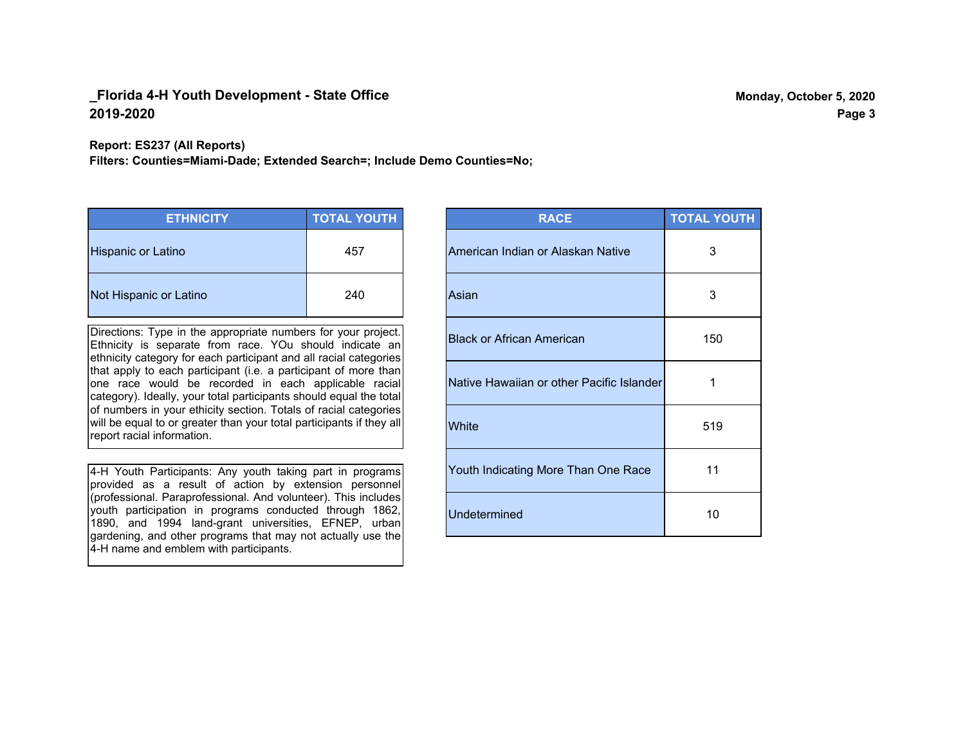**Report: ES237 (All Reports)**

**Filters: Counties=Miami-Dade; Extended Search=; Include Demo Counties=No;**

| <b>ETHNICITY</b>          | <b>TOTAL YOUTH</b> |
|---------------------------|--------------------|
| <b>Hispanic or Latino</b> | 457                |
| Not Hispanic or Latino    | 240                |

Directions: Type in the appropriate numbers for your project. Ethnicity is separate from race. YOu should indicate an ethnicity category for each participant and all racial categories that apply to each participant (i.e. a participant of more than one race would be recorded in each applicable racial category). Ideally, your total participants should equal the total of numbers in your ethicity section. Totals of racial categories will be equal to or greater than your total participants if they all report racial information.

4-H Youth Participants: Any youth taking part in programs provided as a result of action by extension personnel (professional. Paraprofessional. And volunteer). This includes youth participation in programs conducted through 1862, 1890, and 1994 land-grant universities, EFNEP, urban gardening, and other programs that may not actually use the 4-H name and emblem with participants.

| <b>RACE</b>                               | <b>TOTAL YOUTH</b> |
|-------------------------------------------|--------------------|
| American Indian or Alaskan Native         | 3                  |
| Asian                                     | 3                  |
| <b>Black or African American</b>          | 150                |
| Native Hawaiian or other Pacific Islander | 1                  |
| White                                     | 519                |
| Youth Indicating More Than One Race       | 11                 |
| <b>Undetermined</b>                       | 10                 |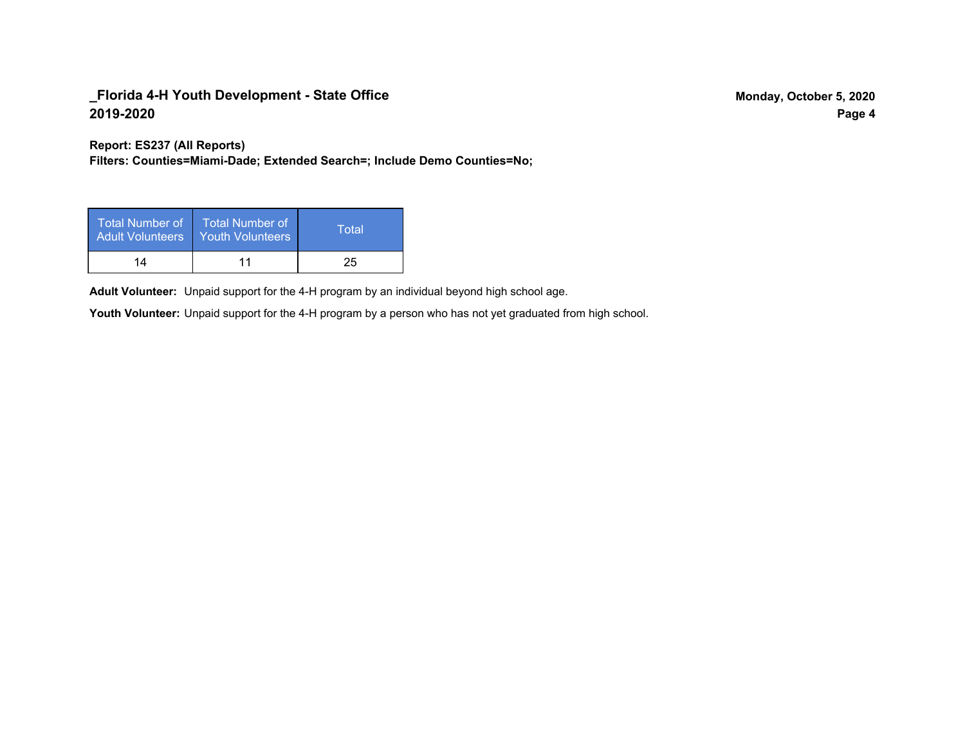**Report: ES237 (All Reports)**

**Filters: Counties=Miami-Dade; Extended Search=; Include Demo Counties=No;**

| Total Number of<br>Adult Volunteers | <b>Total Number of</b><br><b>Youth Volunteers</b> | Total |
|-------------------------------------|---------------------------------------------------|-------|
| 14                                  |                                                   | 25    |

Adult Volunteer: Unpaid support for the 4-H program by an individual beyond high school age.

Youth Volunteer: Unpaid support for the 4-H program by a person who has not yet graduated from high school.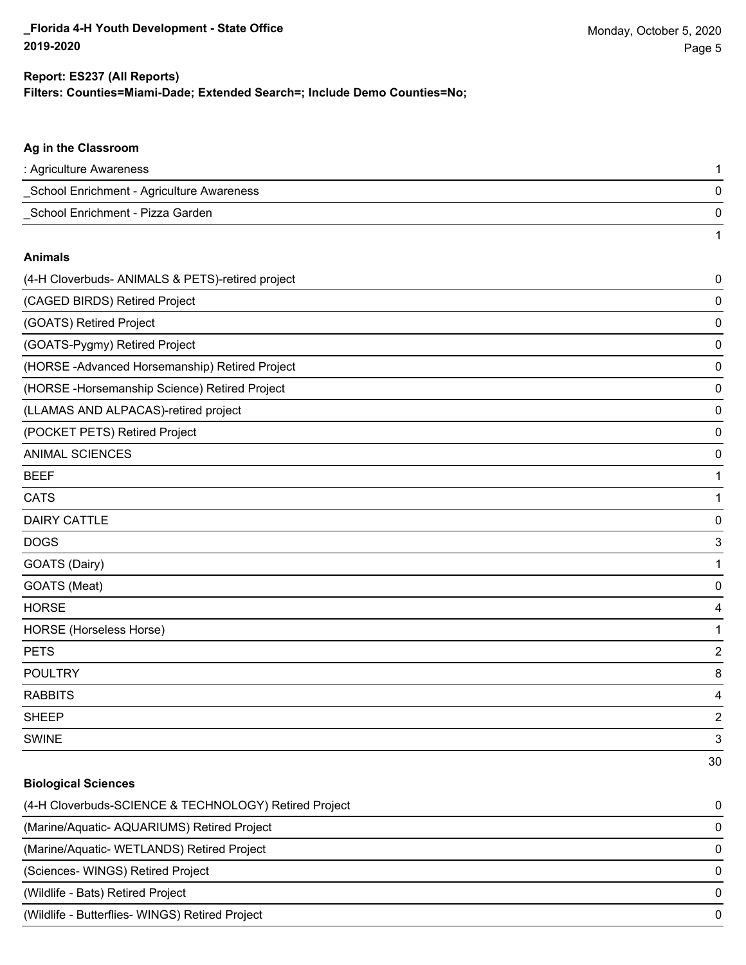1

## **Filters: Counties=Miami-Dade; Extended Search=; Include Demo Counties=No; Report: ES237 (All Reports)**

### **Ag in the Classroom**

| : Agriculture Awareness                   |  |
|-------------------------------------------|--|
| School Enrichment - Agriculture Awareness |  |
| School Enrichment - Pizza Garden          |  |

#### **Animals**

| (4-H Cloverbuds- ANIMALS & PETS)-retired project | $\pmb{0}$               |
|--------------------------------------------------|-------------------------|
| (CAGED BIRDS) Retired Project                    | 0                       |
| (GOATS) Retired Project                          | 0                       |
| (GOATS-Pygmy) Retired Project                    | 0                       |
| (HORSE - Advanced Horsemanship) Retired Project  | 0                       |
| (HORSE-Horsemanship Science) Retired Project     | 0                       |
| (LLAMAS AND ALPACAS)-retired project             | 0                       |
| (POCKET PETS) Retired Project                    | 0                       |
| <b>ANIMAL SCIENCES</b>                           | 0                       |
| <b>BEEF</b>                                      | 1                       |
| <b>CATS</b>                                      | 1                       |
| <b>DAIRY CATTLE</b>                              | 0                       |
| <b>DOGS</b>                                      | 3                       |
| GOATS (Dairy)                                    | 1                       |
| GOATS (Meat)                                     | 0                       |
| <b>HORSE</b>                                     | 4                       |
| HORSE (Horseless Horse)                          | 1                       |
| <b>PETS</b>                                      | $\overline{\mathbf{c}}$ |
| <b>POULTRY</b>                                   | 8                       |
| <b>RABBITS</b>                                   | 4                       |
| <b>SHEEP</b>                                     | $\overline{c}$          |
| <b>SWINE</b>                                     | 3                       |
|                                                  | 30                      |

#### **Biological Sciences**

| (4-H Cloverbuds-SCIENCE & TECHNOLOGY) Retired Project | 0        |
|-------------------------------------------------------|----------|
| (Marine/Aquatic-AQUARIUMS) Retired Project            | 0        |
| (Marine/Aquatic-WETLANDS) Retired Project             | $\Omega$ |
| (Sciences-WINGS) Retired Project                      | 0        |
| (Wildlife - Bats) Retired Project                     | 0        |
| (Wildlife - Butterflies- WINGS) Retired Project       | 0        |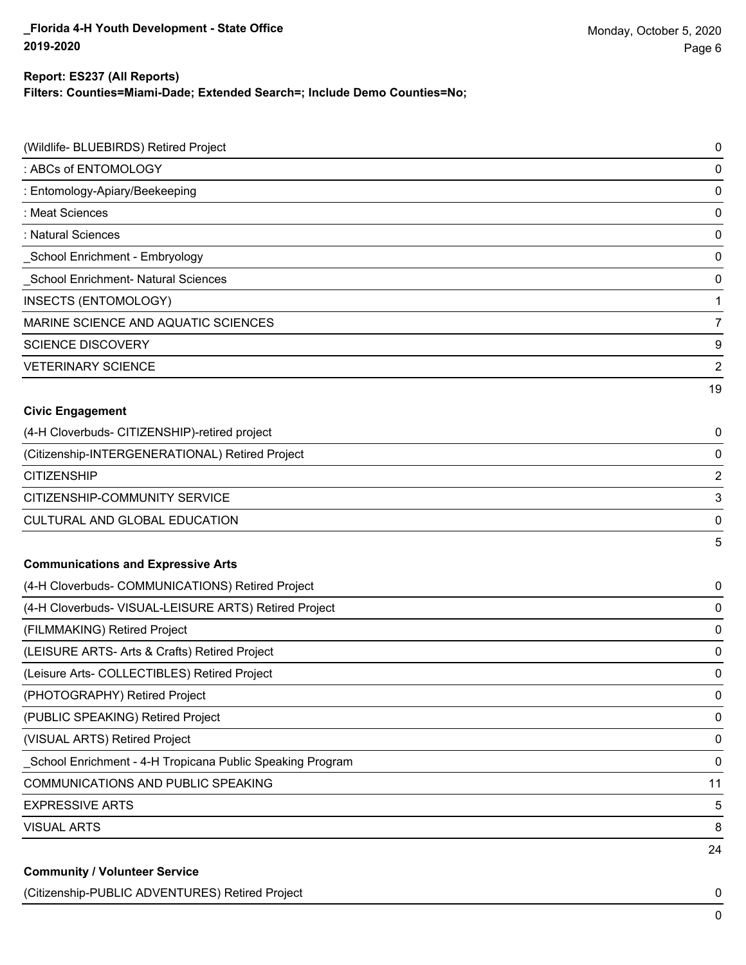#### **Report: ES237 (All Reports)**

**Filters: Counties=Miami-Dade; Extended Search=; Include Demo Counties=No;**

| (Wildlife- BLUEBIRDS) Retired Project                      | $\mathbf 0$    |
|------------------------------------------------------------|----------------|
| : ABCs of ENTOMOLOGY                                       | 0              |
| : Entomology-Apiary/Beekeeping                             | 0              |
| : Meat Sciences                                            | 0              |
| : Natural Sciences                                         | 0              |
| _School Enrichment - Embryology                            | 0              |
| School Enrichment- Natural Sciences                        | 0              |
| INSECTS (ENTOMOLOGY)                                       | 1              |
| MARINE SCIENCE AND AQUATIC SCIENCES                        | $\overline{7}$ |
| <b>SCIENCE DISCOVERY</b>                                   | 9              |
| <b>VETERINARY SCIENCE</b>                                  | $\overline{2}$ |
|                                                            | 19             |
| <b>Civic Engagement</b>                                    |                |
| (4-H Cloverbuds- CITIZENSHIP)-retired project              | 0              |
| (Citizenship-INTERGENERATIONAL) Retired Project            | 0              |
| <b>CITIZENSHIP</b>                                         | $\overline{2}$ |
| CITIZENSHIP-COMMUNITY SERVICE                              | 3              |
| CULTURAL AND GLOBAL EDUCATION                              | 0              |
|                                                            | 5              |
| <b>Communications and Expressive Arts</b>                  |                |
| (4-H Cloverbuds- COMMUNICATIONS) Retired Project           | 0              |
| (4-H Cloverbuds- VISUAL-LEISURE ARTS) Retired Project      | 0              |
| (FILMMAKING) Retired Project                               | 0              |
| (LEISURE ARTS- Arts & Crafts) Retired Project              | 0              |
| (Leisure Arts- COLLECTIBLES) Retired Project               | 0              |
| (PHOTOGRAPHY) Retired Project                              | $\pmb{0}$      |
| (PUBLIC SPEAKING) Retired Project                          | $\mathbf 0$    |
| (VISUAL ARTS) Retired Project                              | $\pmb{0}$      |
| _School Enrichment - 4-H Tropicana Public Speaking Program | $\mathbf 0$    |
| <b>COMMUNICATIONS AND PUBLIC SPEAKING</b>                  | 11             |
| <b>EXPRESSIVE ARTS</b>                                     | 5              |
| <b>VISUAL ARTS</b>                                         | 8              |
|                                                            | 24             |
| <b>Community / Volunteer Service</b>                       |                |

(Citizenship-PUBLIC ADVENTURES) Retired Project 0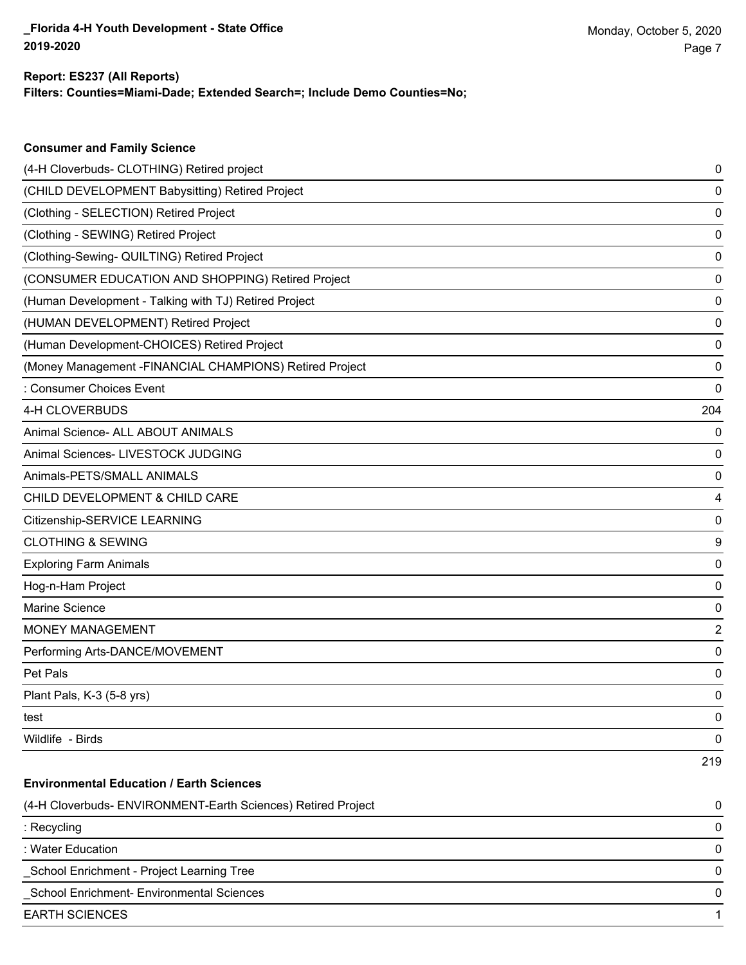# **Report: ES237 (All Reports)**

**Consumer and Family Science**

**Filters: Counties=Miami-Dade; Extended Search=; Include Demo Counties=No;**

| (4-H Cloverbuds- CLOTHING) Retired project                   | 0   |
|--------------------------------------------------------------|-----|
| (CHILD DEVELOPMENT Babysitting) Retired Project              | 0   |
| (Clothing - SELECTION) Retired Project                       | 0   |
| (Clothing - SEWING) Retired Project                          | 0   |
| (Clothing-Sewing- QUILTING) Retired Project                  | 0   |
| (CONSUMER EDUCATION AND SHOPPING) Retired Project            | 0   |
| (Human Development - Talking with TJ) Retired Project        | 0   |
| (HUMAN DEVELOPMENT) Retired Project                          | 0   |
| (Human Development-CHOICES) Retired Project                  | 0   |
| (Money Management -FINANCIAL CHAMPIONS) Retired Project      | 0   |
| : Consumer Choices Event                                     | 0   |
| 4-H CLOVERBUDS                                               | 204 |
| Animal Science- ALL ABOUT ANIMALS                            | 0   |
| Animal Sciences- LIVESTOCK JUDGING                           | 0   |
| Animals-PETS/SMALL ANIMALS                                   | 0   |
| CHILD DEVELOPMENT & CHILD CARE                               | 4   |
| Citizenship-SERVICE LEARNING                                 | 0   |
| <b>CLOTHING &amp; SEWING</b>                                 | 9   |
| <b>Exploring Farm Animals</b>                                | 0   |
| Hog-n-Ham Project                                            | 0   |
| Marine Science                                               | 0   |
| <b>MONEY MANAGEMENT</b>                                      | 2   |
| Performing Arts-DANCE/MOVEMENT                               | 0   |
| Pet Pals                                                     | 0   |
| Plant Pals, K-3 (5-8 yrs)                                    | 0   |
| test                                                         | 0   |
| Wildlife - Birds                                             | 0   |
|                                                              | 219 |
| <b>Environmental Education / Earth Sciences</b>              |     |
| (4-H Cloverbuds- ENVIRONMENT-Earth Sciences) Retired Project | 0   |
| : Recycling                                                  | 0   |
| : Water Education                                            | 0   |
| School Enrichment - Project Learning Tree                    | 0   |
| School Enrichment- Environmental Sciences                    | 0   |
| <b>EARTH SCIENCES</b>                                        | 1   |
|                                                              |     |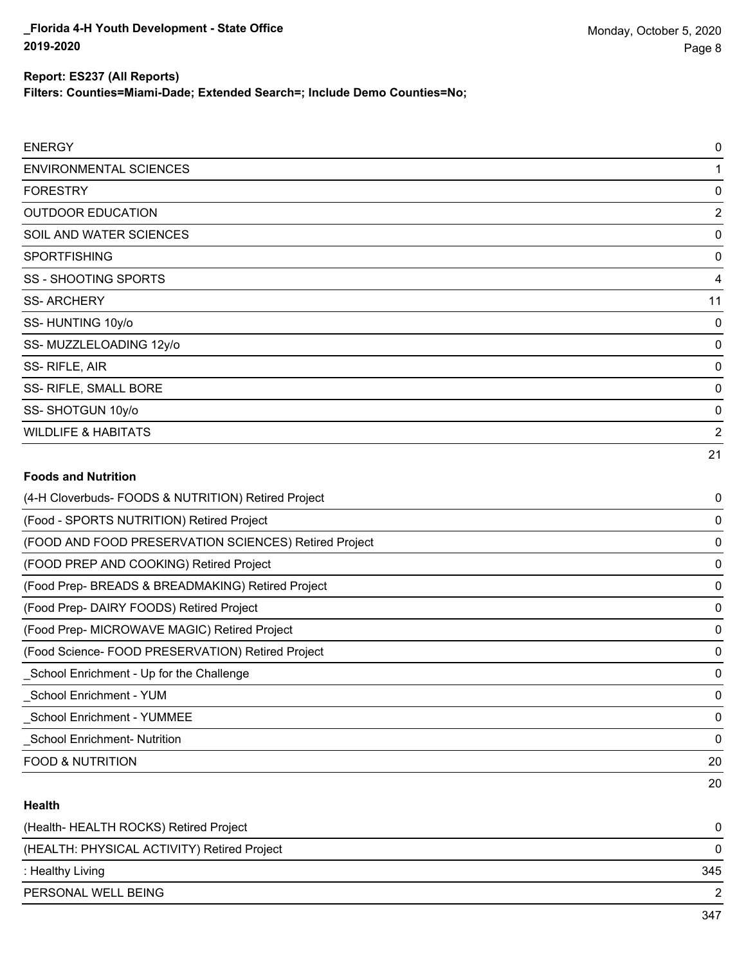**Filters: Counties=Miami-Dade; Extended Search=; Include Demo Counties=No;**

| <b>ENERGY</b>                  | 0              |
|--------------------------------|----------------|
| <b>ENVIRONMENTAL SCIENCES</b>  | 1              |
| <b>FORESTRY</b>                | 0              |
| <b>OUTDOOR EDUCATION</b>       | $\overline{2}$ |
| SOIL AND WATER SCIENCES        | 0              |
| <b>SPORTFISHING</b>            | 0              |
| <b>SS - SHOOTING SPORTS</b>    | 4              |
| <b>SS-ARCHERY</b>              | 11             |
| SS-HUNTING 10y/o               | 0              |
| SS- MUZZLELOADING 12y/o        | 0              |
| SS-RIFLE, AIR                  | 0              |
| SS- RIFLE, SMALL BORE          | 0              |
| SS-SHOTGUN 10y/o               | 0              |
| <b>WILDLIFE &amp; HABITATS</b> | 2              |
|                                | 21             |
| (声) こうけんしょう けいきしょうせいしゃ         |                |

| (4-H Cloverbuds- FOODS & NUTRITION) Retired Project   | 0            |
|-------------------------------------------------------|--------------|
| (Food - SPORTS NUTRITION) Retired Project             | 0            |
| (FOOD AND FOOD PRESERVATION SCIENCES) Retired Project | 0            |
| (FOOD PREP AND COOKING) Retired Project               | 0            |
| (Food Prep- BREADS & BREADMAKING) Retired Project     | 0            |
| (Food Prep-DAIRY FOODS) Retired Project               | 0            |
| (Food Prep- MICROWAVE MAGIC) Retired Project          | 0            |
| (Food Science- FOOD PRESERVATION) Retired Project     | $\mathbf{0}$ |
| School Enrichment - Up for the Challenge              | 0            |
| School Enrichment - YUM                               | 0            |
| <b>School Enrichment - YUMMEE</b>                     | 0            |
| <b>School Enrichment-Nutrition</b>                    | $\Omega$     |
| <b>FOOD &amp; NUTRITION</b>                           | 20           |
|                                                       | 20           |

## **Health**

| (Health- HEALTH ROCKS) Retired Project      |     |
|---------------------------------------------|-----|
| (HEALTH: PHYSICAL ACTIVITY) Retired Project |     |
| : Healthy Living                            | 345 |
| PERSONAL WELL BEING                         |     |
|                                             |     |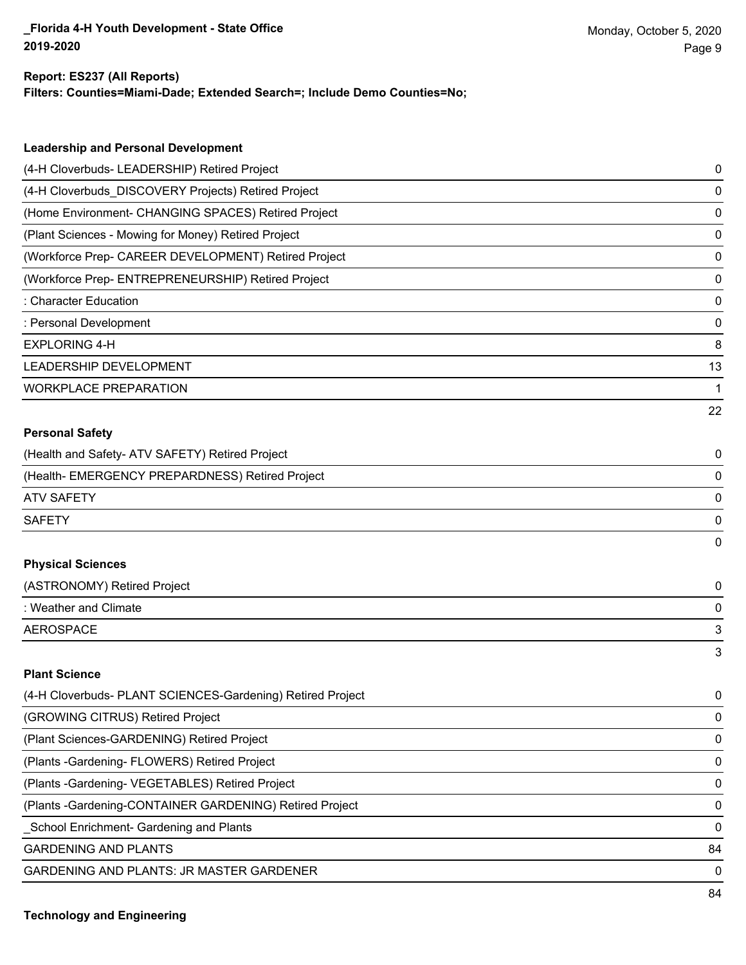#### **Report: ES237 (All Reports)**

**Filters: Counties=Miami-Dade; Extended Search=; Include Demo Counties=No;**

| <b>Leadership and Personal Development</b>                 |    |
|------------------------------------------------------------|----|
| (4-H Cloverbuds- LEADERSHIP) Retired Project               | 0  |
| (4-H Cloverbuds_DISCOVERY Projects) Retired Project        | 0  |
| (Home Environment- CHANGING SPACES) Retired Project        | 0  |
| (Plant Sciences - Mowing for Money) Retired Project        | 0  |
| (Workforce Prep- CAREER DEVELOPMENT) Retired Project       | 0  |
| (Workforce Prep- ENTREPRENEURSHIP) Retired Project         | 0  |
| : Character Education                                      | 0  |
| : Personal Development                                     | 0  |
| <b>EXPLORING 4-H</b>                                       | 8  |
| LEADERSHIP DEVELOPMENT                                     | 13 |
| <b>WORKPLACE PREPARATION</b>                               | 1  |
|                                                            | 22 |
| <b>Personal Safety</b>                                     |    |
| (Health and Safety- ATV SAFETY) Retired Project            | 0  |
| (Health- EMERGENCY PREPARDNESS) Retired Project            | 0  |
| <b>ATV SAFETY</b>                                          | 0  |
| <b>SAFETY</b>                                              | 0  |
|                                                            | 0  |
| <b>Physical Sciences</b>                                   |    |
| (ASTRONOMY) Retired Project                                | 0  |
| : Weather and Climate                                      | 0  |
| <b>AEROSPACE</b>                                           | 3  |
|                                                            | 3  |
| <b>Plant Science</b>                                       |    |
| (4-H Cloverbuds- PLANT SCIENCES-Gardening) Retired Project | 0  |
| (GROWING CITRUS) Retired Project                           | 0  |
| (Plant Sciences-GARDENING) Retired Project                 | 0  |
| (Plants - Gardening - FLOWERS) Retired Project             | 0  |

(Plants -Gardening- VEGETABLES) Retired Project 0

(Plants -Gardening-CONTAINER GARDENING) Retired Project 0

\_School Enrichment- Gardening and Plants 0

GARDENING AND PLANTS 84

GARDENING AND PLANTS: JR MASTER GARDENER 0